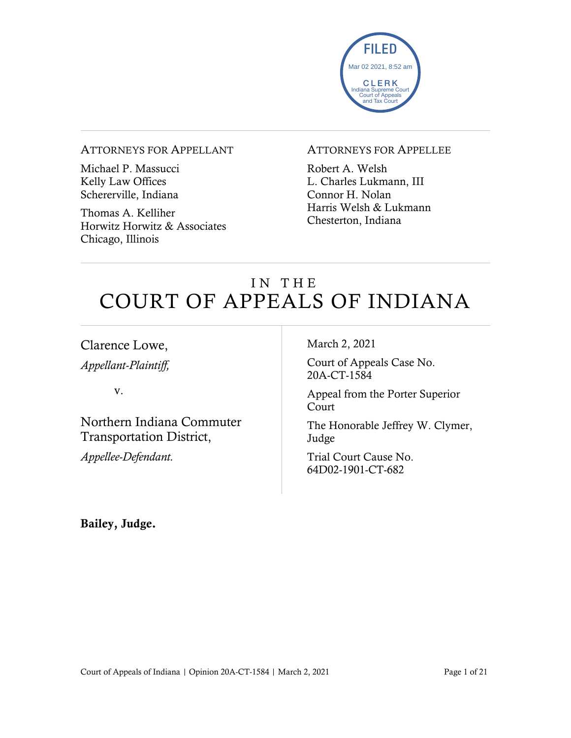

#### ATTORNEYS FOR APPELLANT

Michael P. Massucci Kelly Law Offices Schererville, Indiana

Thomas A. Kelliher Horwitz Horwitz & Associates Chicago, Illinois

#### ATTORNEYS FOR APPELLEE

Robert A. Welsh L. Charles Lukmann, III Connor H. Nolan Harris Welsh & Lukmann Chesterton, Indiana

## IN THE COURT OF APPEALS OF INDIANA

Clarence Lowe,

*Appellant-Plaintiff,*

v.

Northern Indiana Commuter Transportation District,

*Appellee-Defendant.*

March 2, 2021

Court of Appeals Case No. 20A-CT-1584

Appeal from the Porter Superior Court

The Honorable Jeffrey W. Clymer, Judge

Trial Court Cause No. 64D02-1901-CT-682

Bailey, Judge.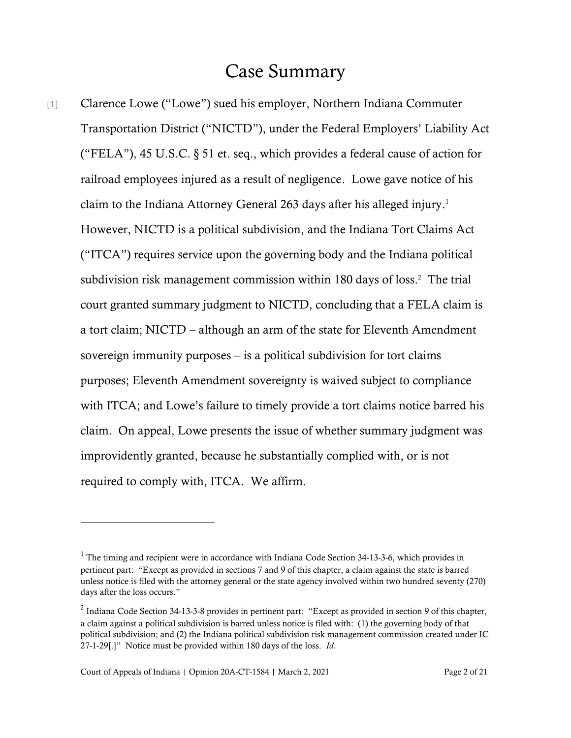#### Case Summary

[1] Clarence Lowe ("Lowe") sued his employer, Northern Indiana Commuter Transportation District ("NICTD"), under the Federal Employers' Liability Act ("FELA"), 45 U.S.C.  $\S$  51 et. seq., which provides a federal cause of action for railroad employees injured as a result of negligence. Lowe gave notice of his claim to the Indiana Attorney General 263 days after his alleged injury. 1 However, NICTD is a political subdivision, and the Indiana Tort Claims Act ("ITCA") requires service upon the governing body and the Indiana political subdivision risk management commission within 180 days of loss. <sup>2</sup> The trial court granted summary judgment to NICTD, concluding that a FELA claim is a tort claim; NICTD – although an arm of the state for Eleventh Amendment sovereign immunity purposes – is a political subdivision for tort claims purposes; Eleventh Amendment sovereignty is waived subject to compliance with ITCA; and Lowe's failure to timely provide a tort claims notice barred his claim. On appeal, Lowe presents the issue of whether summary judgment was improvidently granted, because he substantially complied with, or is not required to comply with, ITCA. We affirm.

<sup>&</sup>lt;sup>1</sup> The timing and recipient were in accordance with Indiana Code Section 34-13-3-6, which provides in pertinent part: "Except as provided in sections 7 and 9 of this chapter, a claim against the state is barred unless notice is filed with the attorney general or the state agency involved within two hundred seventy (270) days after the loss occurs."

<sup>&</sup>lt;sup>2</sup> Indiana Code Section 34-13-3-8 provides in pertinent part: "Except as provided in section 9 of this chapter, a claim against a political subdivision is barred unless notice is filed with: (1) the governing body of that political subdivision; and (2) the Indiana political subdivision risk management commission created under IC 27-1-29[.]" Notice must be provided within 180 days of the loss. *Id.*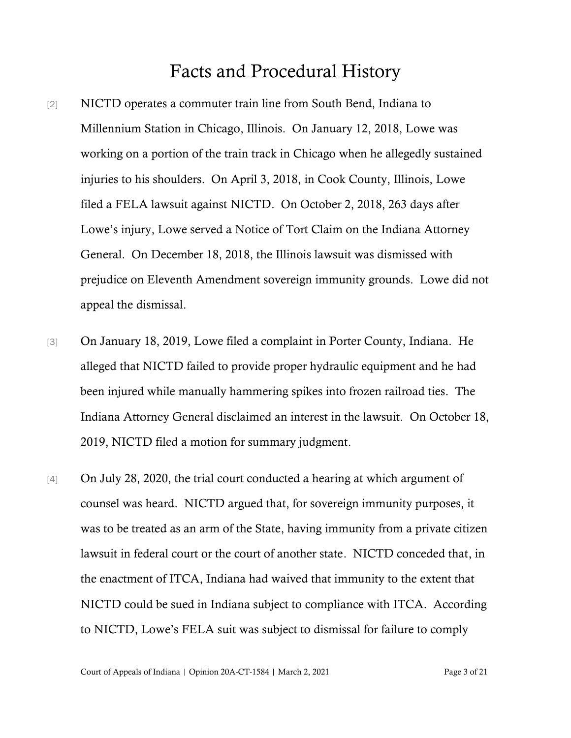## Facts and Procedural History

- [2] NICTD operates a commuter train line from South Bend, Indiana to Millennium Station in Chicago, Illinois. On January 12, 2018, Lowe was working on a portion of the train track in Chicago when he allegedly sustained injuries to his shoulders. On April 3, 2018, in Cook County, Illinois, Lowe filed a FELA lawsuit against NICTD. On October 2, 2018, 263 days after Lowe's injury, Lowe served a Notice of Tort Claim on the Indiana Attorney General. On December 18, 2018, the Illinois lawsuit was dismissed with prejudice on Eleventh Amendment sovereign immunity grounds. Lowe did not appeal the dismissal.
- [3] On January 18, 2019, Lowe filed a complaint in Porter County, Indiana. He alleged that NICTD failed to provide proper hydraulic equipment and he had been injured while manually hammering spikes into frozen railroad ties. The Indiana Attorney General disclaimed an interest in the lawsuit. On October 18, 2019, NICTD filed a motion for summary judgment.
- [4] On July 28, 2020, the trial court conducted a hearing at which argument of counsel was heard. NICTD argued that, for sovereign immunity purposes, it was to be treated as an arm of the State, having immunity from a private citizen lawsuit in federal court or the court of another state. NICTD conceded that, in the enactment of ITCA, Indiana had waived that immunity to the extent that NICTD could be sued in Indiana subject to compliance with ITCA. According to NICTD, Lowe's FELA suit was subject to dismissal for failure to comply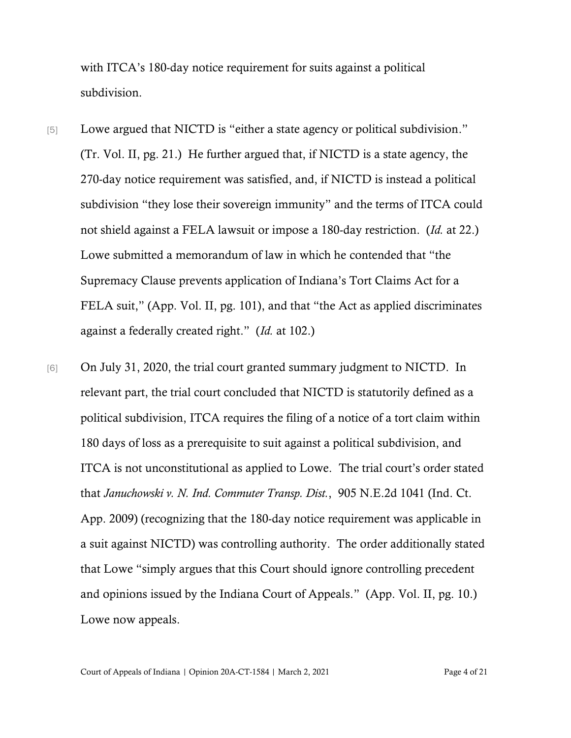with ITCA's 180-day notice requirement for suits against a political subdivision.

- [5] Lowe argued that NICTD is "either a state agency or political subdivision." (Tr. Vol. II, pg. 21.) He further argued that, if NICTD is a state agency, the 270-day notice requirement was satisfied, and, if NICTD is instead a political subdivision "they lose their sovereign immunity" and the terms of ITCA could not shield against a FELA lawsuit or impose a 180-day restriction. (*Id.* at 22.) Lowe submitted a memorandum of law in which he contended that "the Supremacy Clause prevents application of Indiana's Tort Claims Act for a FELA suit," (App. Vol. II, pg. 101), and that "the Act as applied discriminates against a federally created right." (*Id.* at 102.)
- [6] On July 31, 2020, the trial court granted summary judgment to NICTD. In relevant part, the trial court concluded that NICTD is statutorily defined as a political subdivision, ITCA requires the filing of a notice of a tort claim within 180 days of loss as a prerequisite to suit against a political subdivision, and ITCA is not unconstitutional as applied to Lowe. The trial court's order stated that *Januchowski v. N. Ind. Commuter Transp. Dist.*, 905 N.E.2d 1041 (Ind. Ct. App. 2009) (recognizing that the 180-day notice requirement was applicable in a suit against NICTD) was controlling authority. The order additionally stated that Lowe "simply argues that this Court should ignore controlling precedent and opinions issued by the Indiana Court of Appeals." (App. Vol. II, pg. 10.) Lowe now appeals.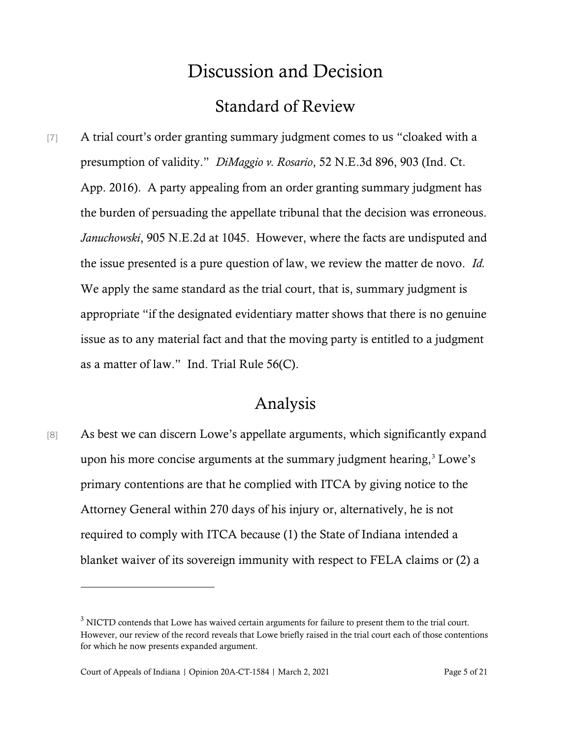# Discussion and Decision Standard of Review

[7] A trial court's order granting summary judgment comes to us "cloaked with a presumption of validity." *DiMaggio v. Rosario*, 52 N.E.3d 896, 903 (Ind. Ct. App. 2016). A party appealing from an order granting summary judgment has the burden of persuading the appellate tribunal that the decision was erroneous. *Januchowski*, 905 N.E.2d at 1045. However, where the facts are undisputed and the issue presented is a pure question of law, we review the matter de novo. *Id.* We apply the same standard as the trial court, that is, summary judgment is appropriate "if the designated evidentiary matter shows that there is no genuine issue as to any material fact and that the moving party is entitled to a judgment as a matter of law." Ind. Trial Rule 56(C).

## Analysis

[8] As best we can discern Lowe's appellate arguments, which significantly expand upon his more concise arguments at the summary judgment hearing, $3$  Lowe's primary contentions are that he complied with ITCA by giving notice to the Attorney General within 270 days of his injury or, alternatively, he is not required to comply with ITCA because (1) the State of Indiana intended a blanket waiver of its sovereign immunity with respect to FELA claims or (2) a

<sup>&</sup>lt;sup>3</sup> NICTD contends that Lowe has waived certain arguments for failure to present them to the trial court. However, our review of the record reveals that Lowe briefly raised in the trial court each of those contentions for which he now presents expanded argument.

Court of Appeals of Indiana | Opinion 20A-CT-1584 | March 2, 2021 Page 5 of 21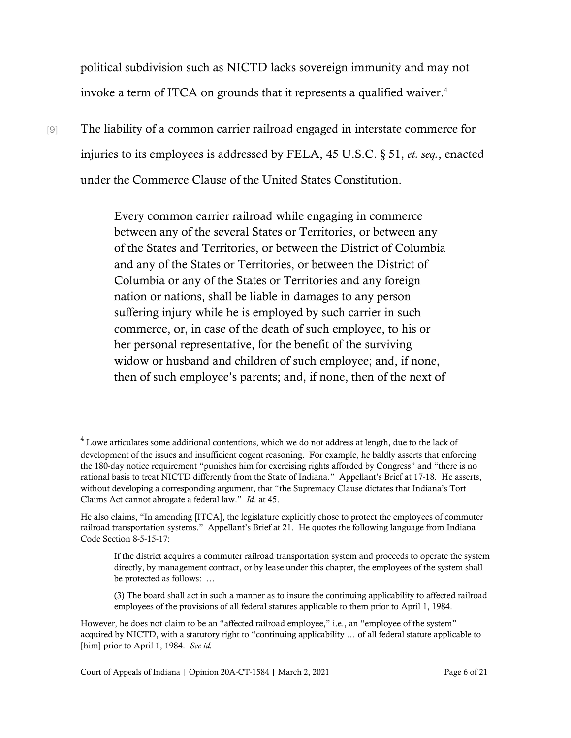political subdivision such as NICTD lacks sovereign immunity and may not invoke a term of ITCA on grounds that it represents a qualified waiver. 4

[9] The liability of a common carrier railroad engaged in interstate commerce for injuries to its employees is addressed by FELA, 45 U.S.C. § 51, *et. seq.*, enacted under the Commerce Clause of the United States Constitution.

> Every common carrier railroad while engaging in commerce between any of the several States or Territories, or between any of the States and Territories, or between the District of Columbia and any of the States or Territories, or between the District of Columbia or any of the States or Territories and any foreign nation or nations, shall be liable in damages to any person suffering injury while he is employed by such carrier in such commerce, or, in case of the death of such employee, to his or her personal representative, for the benefit of the surviving widow or husband and children of such employee; and, if none, then of such employee's parents; and, if none, then of the next of

<sup>4</sup> Lowe articulates some additional contentions, which we do not address at length, due to the lack of development of the issues and insufficient cogent reasoning. For example, he baldly asserts that enforcing the 180-day notice requirement "punishes him for exercising rights afforded by Congress" and "there is no rational basis to treat NICTD differently from the State of Indiana." Appellant's Brief at 17-18. He asserts, without developing a corresponding argument, that "the Supremacy Clause dictates that Indiana's Tort Claims Act cannot abrogate a federal law." *Id*. at 45.

He also claims, "In amending [ITCA], the legislature explicitly chose to protect the employees of commuter railroad transportation systems." Appellant's Brief at 21. He quotes the following language from Indiana Code Section 8-5-15-17:

If the district acquires a commuter railroad transportation system and proceeds to operate the system directly, by management contract, or by lease under this chapter, the employees of the system shall be protected as follows: …

<sup>(3)</sup> The board shall act in such a manner as to insure the continuing applicability to affected railroad employees of the provisions of all federal statutes applicable to them prior to April 1, 1984.

However, he does not claim to be an "affected railroad employee," i.e., an "employee of the system" acquired by NICTD, with a statutory right to "continuing applicability … of all federal statute applicable to [him] prior to April 1, 1984. *See id.*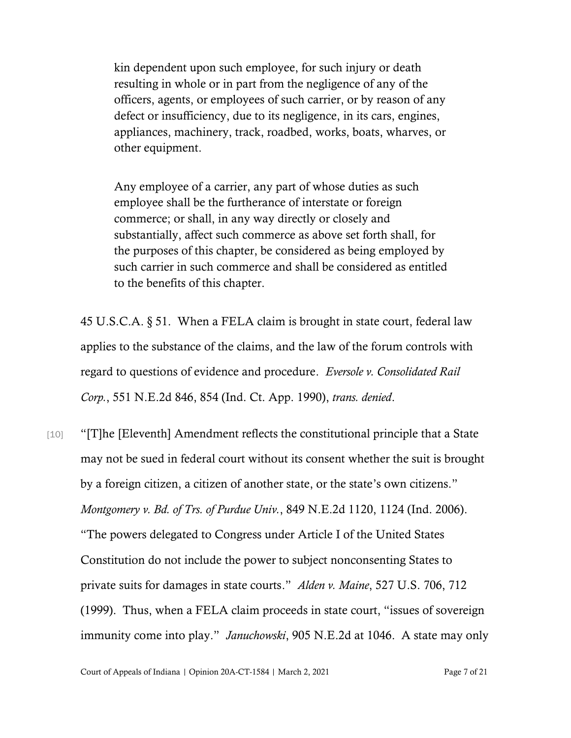kin dependent upon such employee, for such injury or death resulting in whole or in part from the negligence of any of the officers, agents, or employees of such carrier, or by reason of any defect or insufficiency, due to its negligence, in its cars, engines, appliances, machinery, track, roadbed, works, boats, wharves, or other equipment.

Any employee of a carrier, any part of whose duties as such employee shall be the furtherance of interstate or foreign commerce; or shall, in any way directly or closely and substantially, affect such commerce as above set forth shall, for the purposes of this chapter, be considered as being employed by such carrier in such commerce and shall be considered as entitled to the benefits of this chapter.

45 U.S.C.A. § 51. When a FELA claim is brought in state court, federal law applies to the substance of the claims, and the law of the forum controls with regard to questions of evidence and procedure. *Eversole v. Consolidated Rail Corp.*, 551 N.E.2d 846, 854 (Ind. Ct. App. 1990), *trans. denied*.

[10] "[T]he [Eleventh] Amendment reflects the constitutional principle that a State may not be sued in federal court without its consent whether the suit is brought by a foreign citizen, a citizen of another state, or the state's own citizens." *Montgomery v. Bd. of Trs. of Purdue Univ.*, 849 N.E.2d 1120, 1124 (Ind. 2006). "The powers delegated to Congress under Article I of the United States Constitution do not include the power to subject nonconsenting States to private suits for damages in state courts." *Alden v. Maine*, 527 U.S. 706, 712 (1999). Thus, when a FELA claim proceeds in state court, "issues of sovereign immunity come into play." *Januchowski*, 905 N.E.2d at 1046. A state may only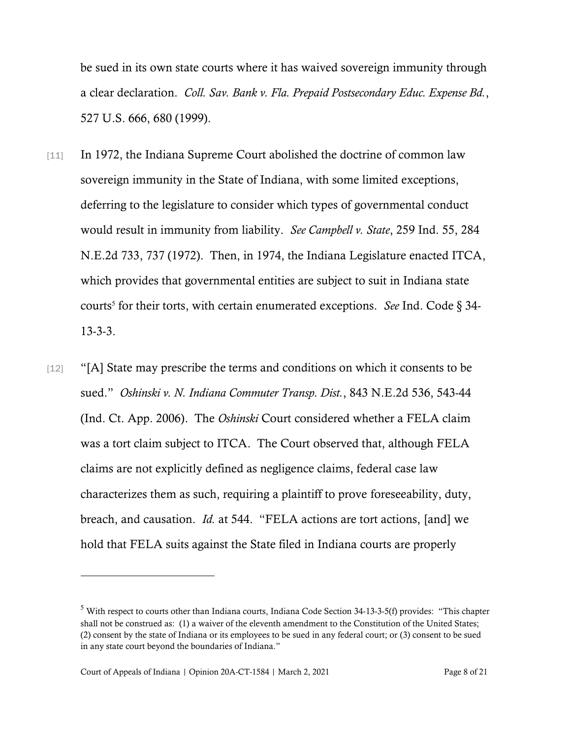be sued in its own state courts where it has waived sovereign immunity through a clear declaration. *Coll. Sav. Bank v. Fla. Prepaid Postsecondary Educ. Expense Bd.*, 527 U.S. 666, 680 (1999).

- [11] In 1972, the Indiana Supreme Court abolished the doctrine of common law sovereign immunity in the State of Indiana, with some limited exceptions, deferring to the legislature to consider which types of governmental conduct would result in immunity from liability. *See Campbell v. State*, 259 Ind. 55, 284 N.E.2d 733, 737 (1972). Then, in 1974, the Indiana Legislature enacted ITCA, which provides that governmental entities are subject to suit in Indiana state courts<sup>5</sup> for their torts, with certain enumerated exceptions. *See* Ind. Code § 34-13-3-3.
- [12] "[A] State may prescribe the terms and conditions on which it consents to be sued." *Oshinski v. N. Indiana Commuter Transp. Dist.*, 843 N.E.2d 536, 543-44 (Ind. Ct. App. 2006). The *Oshinski* Court considered whether a FELA claim was a tort claim subject to ITCA. The Court observed that, although FELA claims are not explicitly defined as negligence claims, federal case law characterizes them as such, requiring a plaintiff to prove foreseeability, duty, breach, and causation. *Id.* at 544. "FELA actions are tort actions, [and] we hold that FELA suits against the State filed in Indiana courts are properly

<sup>5</sup> With respect to courts other than Indiana courts, Indiana Code Section 34-13-3-5(f) provides: "This chapter shall not be construed as: (1) a waiver of the eleventh amendment to the Constitution of the United States; (2) consent by the state of Indiana or its employees to be sued in any federal court; or (3) consent to be sued in any state court beyond the boundaries of Indiana."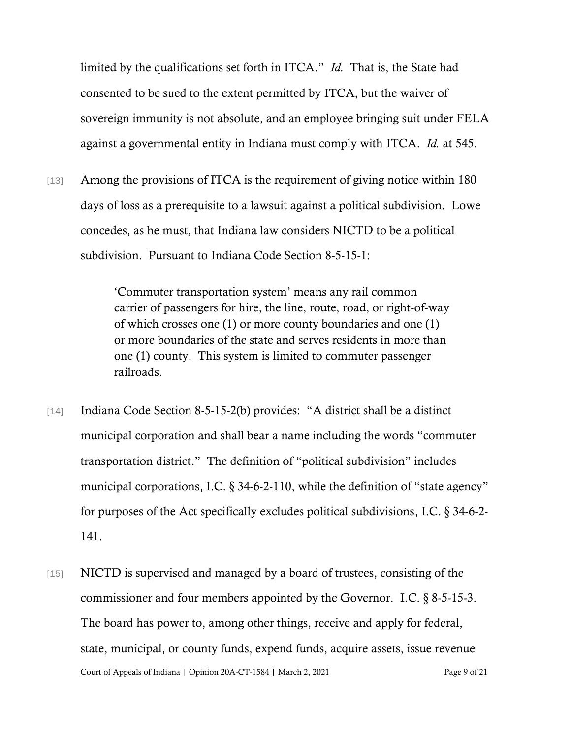limited by the qualifications set forth in ITCA." *Id.* That is, the State had consented to be sued to the extent permitted by ITCA, but the waiver of sovereign immunity is not absolute, and an employee bringing suit under FELA against a governmental entity in Indiana must comply with ITCA. *Id.* at 545.

[13] Among the provisions of ITCA is the requirement of giving notice within 180 days of loss as a prerequisite to a lawsuit against a political subdivision. Lowe concedes, as he must, that Indiana law considers NICTD to be a political subdivision. Pursuant to Indiana Code Section 8-5-15-1:

> 'Commuter transportation system' means any rail common carrier of passengers for hire, the line, route, road, or right-of-way of which crosses one (1) or more county boundaries and one (1) or more boundaries of the state and serves residents in more than one (1) county. This system is limited to commuter passenger railroads.

- [14] Indiana Code Section 8-5-15-2(b) provides: "A district shall be a distinct municipal corporation and shall bear a name including the words "commuter transportation district." The definition of "political subdivision" includes municipal corporations, I.C. § 34-6-2-110, while the definition of "state agency" for purposes of the Act specifically excludes political subdivisions, I.C. § 34-6-2- 141.
- Court of Appeals of Indiana | Opinion 20A-CT-1584 | March 2, 2021 Page 9 of 21 [15] NICTD is supervised and managed by a board of trustees, consisting of the commissioner and four members appointed by the Governor. I.C. § 8-5-15-3. The board has power to, among other things, receive and apply for federal, state, municipal, or county funds, expend funds, acquire assets, issue revenue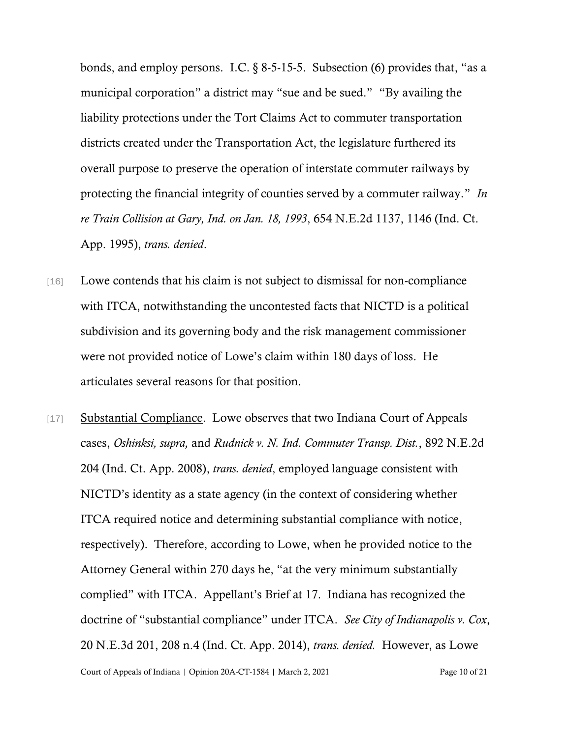bonds, and employ persons. I.C.  $\S$  8-5-15-5. Subsection (6) provides that, "as a municipal corporation" a district may "sue and be sued." "By availing the liability protections under the Tort Claims Act to commuter transportation districts created under the Transportation Act, the legislature furthered its overall purpose to preserve the operation of interstate commuter railways by protecting the financial integrity of counties served by a commuter railway." *In re Train Collision at Gary, Ind. on Jan. 18, 1993*, 654 N.E.2d 1137, 1146 (Ind. Ct. App. 1995), *trans. denied*.

- [16] Lowe contends that his claim is not subject to dismissal for non-compliance with ITCA, notwithstanding the uncontested facts that NICTD is a political subdivision and its governing body and the risk management commissioner were not provided notice of Lowe's claim within 180 days of loss. He articulates several reasons for that position.
- Court of Appeals of Indiana | Opinion 20A-CT-1584 | March 2, 2021 Page 10 of 21 [17] Substantial Compliance. Lowe observes that two Indiana Court of Appeals cases, *Oshinksi, supra,* and *Rudnick v. N. Ind. Commuter Transp. Dist.*, 892 N.E.2d 204 (Ind. Ct. App. 2008), *trans. denied*, employed language consistent with NICTD's identity as a state agency (in the context of considering whether ITCA required notice and determining substantial compliance with notice, respectively). Therefore, according to Lowe, when he provided notice to the Attorney General within 270 days he, "at the very minimum substantially complied" with ITCA. Appellant's Brief at 17. Indiana has recognized the doctrine of "substantial compliance" under ITCA. *See City of Indianapolis v. Cox*, 20 N.E.3d 201, 208 n.4 (Ind. Ct. App. 2014), *trans. denied.* However, as Lowe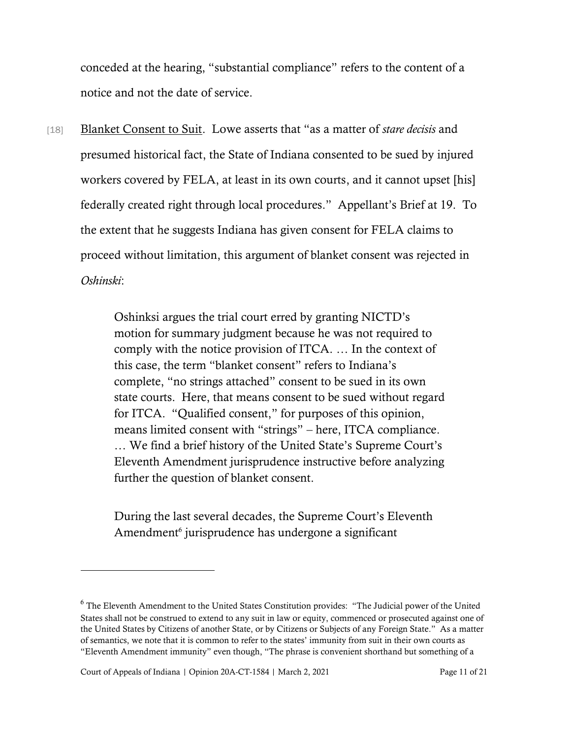conceded at the hearing, "substantial compliance" refers to the content of a notice and not the date of service.

[18] Blanket Consent to Suit. Lowe asserts that "as a matter of *stare decisis* and presumed historical fact, the State of Indiana consented to be sued by injured workers covered by FELA, at least in its own courts, and it cannot upset [his] federally created right through local procedures." Appellant's Brief at 19. To the extent that he suggests Indiana has given consent for FELA claims to proceed without limitation, this argument of blanket consent was rejected in *Oshinski*:

> Oshinksi argues the trial court erred by granting NICTD's motion for summary judgment because he was not required to comply with the notice provision of ITCA. … In the context of this case, the term "blanket consent" refers to Indiana's complete, "no strings attached" consent to be sued in its own state courts. Here, that means consent to be sued without regard for ITCA. "Qualified consent," for purposes of this opinion, means limited consent with "strings" – here, ITCA compliance. … We find a brief history of the United State's Supreme Court's Eleventh Amendment jurisprudence instructive before analyzing further the question of blanket consent.

During the last several decades, the Supreme Court's Eleventh Amendment<sup>6</sup> jurisprudence has undergone a significant

<sup>&</sup>lt;sup>6</sup> The Eleventh Amendment to the United States Constitution provides: "The Judicial power of the United States shall not be construed to extend to any suit in law or equity, commenced or prosecuted against one of the United States by Citizens of another State, or by Citizens or Subjects of any Foreign State." As a matter of semantics, we note that it is common to refer to the states' immunity from suit in their own courts as "Eleventh Amendment immunity" even though, "The phrase is convenient shorthand but something of a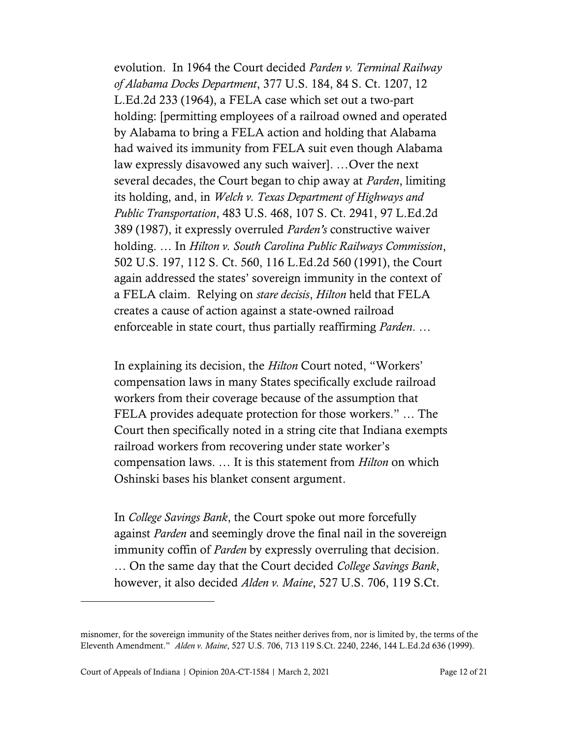evolution. In 1964 the Court decided *Parden v. Terminal Railway of Alabama Docks Department*, 377 U.S. 184, 84 S. Ct. 1207, 12 L.Ed.2d 233 (1964), a FELA case which set out a two-part holding: [permitting employees of a railroad owned and operated by Alabama to bring a FELA action and holding that Alabama had waived its immunity from FELA suit even though Alabama law expressly disavowed any such waiver]. …Over the next several decades, the Court began to chip away at *Parden*, limiting its holding, and, in *Welch v. Texas Department of Highways and Public Transportation*, 483 U.S. 468, 107 S. Ct. 2941, 97 L.Ed.2d 389 (1987), it expressly overruled *Parden's* constructive waiver holding. … In *Hilton v. South Carolina Public Railways Commission*, 502 U.S. 197, 112 S. Ct. 560, 116 L.Ed.2d 560 (1991), the Court again addressed the states' sovereign immunity in the context of a FELA claim. Relying on *stare decisis*, *Hilton* held that FELA creates a cause of action against a state-owned railroad enforceable in state court, thus partially reaffirming *Parden*. …

In explaining its decision, the *Hilton* Court noted, "Workers' compensation laws in many States specifically exclude railroad workers from their coverage because of the assumption that FELA provides adequate protection for those workers." … The Court then specifically noted in a string cite that Indiana exempts railroad workers from recovering under state worker's compensation laws. … It is this statement from *Hilton* on which Oshinski bases his blanket consent argument.

In *College Savings Bank*, the Court spoke out more forcefully against *Parden* and seemingly drove the final nail in the sovereign immunity coffin of *Parden* by expressly overruling that decision.

… On the same day that the Court decided *College Savings Bank*, however, it also decided *Alden v. Maine*, 527 U.S. 706, 119 S.Ct.

misnomer, for the sovereign immunity of the States neither derives from, nor is limited by, the terms of the Eleventh Amendment." *Alden v. Maine*, 527 U.S. 706, 713 119 S.Ct. 2240, 2246, 144 L.Ed.2d 636 (1999).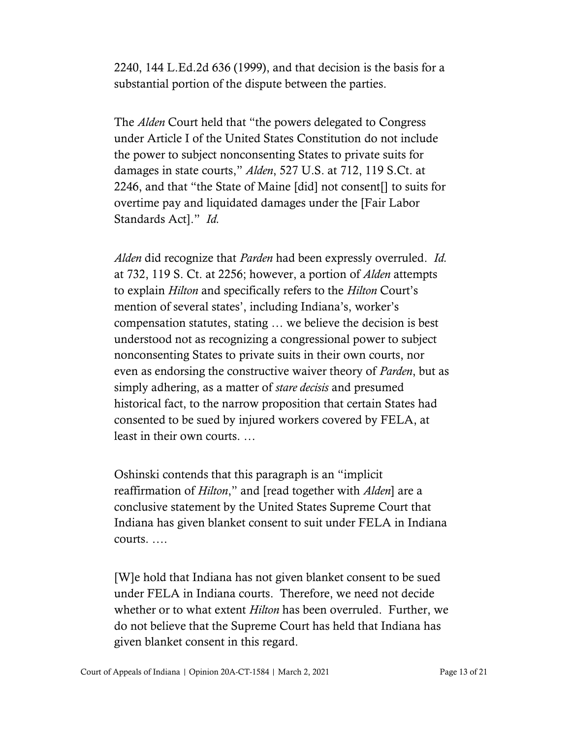2240, 144 L.Ed.2d 636 (1999), and that decision is the basis for a substantial portion of the dispute between the parties.

The *Alden* Court held that "the powers delegated to Congress under Article I of the United States Constitution do not include the power to subject nonconsenting States to private suits for damages in state courts," *Alden*, 527 U.S. at 712, 119 S.Ct. at 2246, and that "the State of Maine [did] not consent[] to suits for overtime pay and liquidated damages under the [Fair Labor Standards Act]." *Id.*

*Alden* did recognize that *Parden* had been expressly overruled. *Id.* at 732, 119 S. Ct. at 2256; however, a portion of *Alden* attempts to explain *Hilton* and specifically refers to the *Hilton* Court's mention of several states', including Indiana's, worker's compensation statutes, stating … we believe the decision is best understood not as recognizing a congressional power to subject nonconsenting States to private suits in their own courts, nor even as endorsing the constructive waiver theory of *Parden*, but as simply adhering, as a matter of *stare decisis* and presumed historical fact, to the narrow proposition that certain States had consented to be sued by injured workers covered by FELA, at least in their own courts. …

Oshinski contends that this paragraph is an "implicit reaffirmation of *Hilton*," and [read together with *Alden*] are a conclusive statement by the United States Supreme Court that Indiana has given blanket consent to suit under FELA in Indiana courts. ….

[W]e hold that Indiana has not given blanket consent to be sued under FELA in Indiana courts. Therefore, we need not decide whether or to what extent *Hilton* has been overruled. Further, we do not believe that the Supreme Court has held that Indiana has given blanket consent in this regard.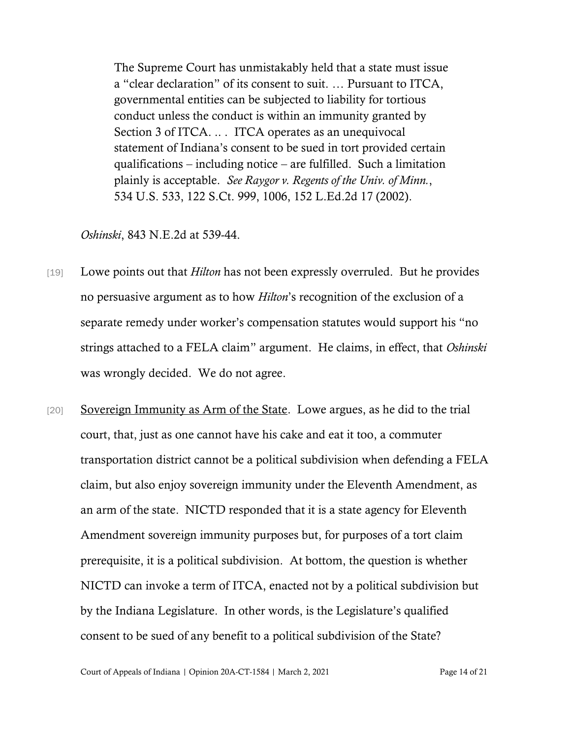The Supreme Court has unmistakably held that a state must issue a "clear declaration" of its consent to suit. … Pursuant to ITCA, governmental entities can be subjected to liability for tortious conduct unless the conduct is within an immunity granted by Section 3 of ITCA... ITCA operates as an unequivocal statement of Indiana's consent to be sued in tort provided certain qualifications – including notice – are fulfilled. Such a limitation plainly is acceptable. *See Raygor v. Regents of the Univ. of Minn.*, 534 U.S. 533, 122 S.Ct. 999, 1006, 152 L.Ed.2d 17 (2002).

#### *Oshinski*, 843 N.E.2d at 539-44.

- [19] Lowe points out that *Hilton* has not been expressly overruled. But he provides no persuasive argument as to how *Hilton*'s recognition of the exclusion of a separate remedy under worker's compensation statutes would support his "no strings attached to a FELA claim" argument. He claims, in effect, that *Oshinski* was wrongly decided. We do not agree.
- [20] Sovereign Immunity as Arm of the State. Lowe argues, as he did to the trial court, that, just as one cannot have his cake and eat it too, a commuter transportation district cannot be a political subdivision when defending a FELA claim, but also enjoy sovereign immunity under the Eleventh Amendment, as an arm of the state. NICTD responded that it is a state agency for Eleventh Amendment sovereign immunity purposes but, for purposes of a tort claim prerequisite, it is a political subdivision. At bottom, the question is whether NICTD can invoke a term of ITCA, enacted not by a political subdivision but by the Indiana Legislature. In other words, is the Legislature's qualified consent to be sued of any benefit to a political subdivision of the State?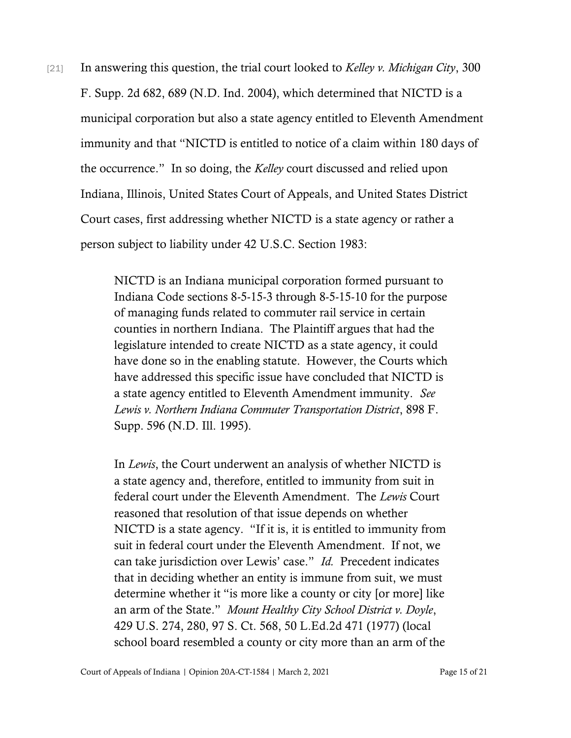[21] In answering this question, the trial court looked to *Kelley v. Michigan City*, 300 F. Supp. 2d 682, 689 (N.D. Ind. 2004), which determined that NICTD is a municipal corporation but also a state agency entitled to Eleventh Amendment immunity and that "NICTD is entitled to notice of a claim within 180 days of the occurrence." In so doing, the *Kelley* court discussed and relied upon Indiana, Illinois, United States Court of Appeals, and United States District Court cases, first addressing whether NICTD is a state agency or rather a person subject to liability under 42 U.S.C. Section 1983:

> NICTD is an Indiana municipal corporation formed pursuant to Indiana Code sections 8-5-15-3 through 8-5-15-10 for the purpose of managing funds related to commuter rail service in certain counties in northern Indiana. The Plaintiff argues that had the legislature intended to create NICTD as a state agency, it could have done so in the enabling statute. However, the Courts which have addressed this specific issue have concluded that NICTD is a state agency entitled to Eleventh Amendment immunity. *See Lewis v. Northern Indiana Commuter Transportation District*, 898 F. Supp. 596 (N.D. Ill. 1995).

> In *Lewis*, the Court underwent an analysis of whether NICTD is a state agency and, therefore, entitled to immunity from suit in federal court under the Eleventh Amendment. The *Lewis* Court reasoned that resolution of that issue depends on whether NICTD is a state agency. "If it is, it is entitled to immunity from suit in federal court under the Eleventh Amendment. If not, we can take jurisdiction over Lewis' case." *Id.* Precedent indicates that in deciding whether an entity is immune from suit, we must determine whether it "is more like a county or city [or more] like an arm of the State." *Mount Healthy City School District v. Doyle*, 429 U.S. 274, 280, 97 S. Ct. 568, 50 L.Ed.2d 471 (1977) (local school board resembled a county or city more than an arm of the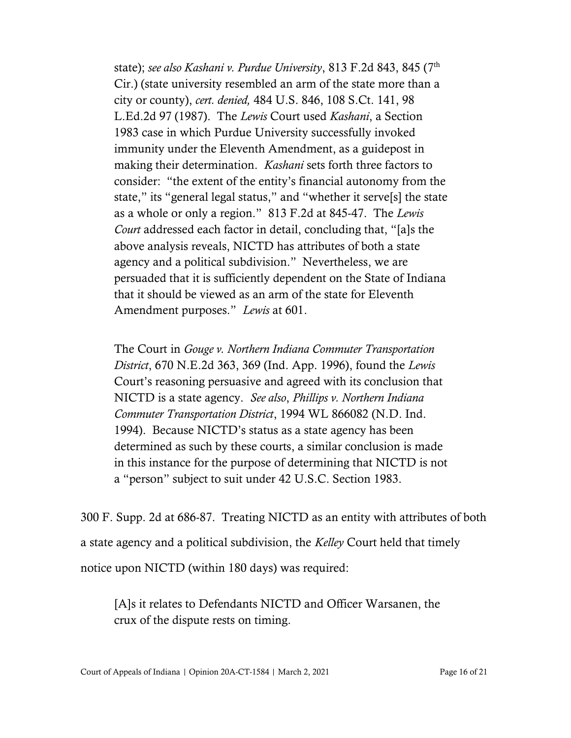state); *see also Kashani v. Purdue University*, 813 F.2d 843, 845 (7th Cir.) (state university resembled an arm of the state more than a city or county), *cert. denied,* 484 U.S. 846, 108 S.Ct. 141, 98 L.Ed.2d 97 (1987). The *Lewis* Court used *Kashani*, a Section 1983 case in which Purdue University successfully invoked immunity under the Eleventh Amendment, as a guidepost in making their determination. *Kashani* sets forth three factors to consider: "the extent of the entity's financial autonomy from the state," its "general legal status," and "whether it serve[s] the state as a whole or only a region." 813 F.2d at 845-47. The *Lewis Court* addressed each factor in detail, concluding that, "[a]s the above analysis reveals, NICTD has attributes of both a state agency and a political subdivision." Nevertheless, we are persuaded that it is sufficiently dependent on the State of Indiana that it should be viewed as an arm of the state for Eleventh Amendment purposes." *Lewis* at 601.

The Court in *Gouge v. Northern Indiana Commuter Transportation District*, 670 N.E.2d 363, 369 (Ind. App. 1996), found the *Lewis* Court's reasoning persuasive and agreed with its conclusion that NICTD is a state agency. *See also*, *Phillips v. Northern Indiana Commuter Transportation District*, 1994 WL 866082 (N.D. Ind. 1994). Because NICTD's status as a state agency has been determined as such by these courts, a similar conclusion is made in this instance for the purpose of determining that NICTD is not a "person" subject to suit under 42 U.S.C. Section 1983.

300 F. Supp. 2d at 686-87. Treating NICTD as an entity with attributes of both a state agency and a political subdivision, the *Kelley* Court held that timely notice upon NICTD (within 180 days) was required:

[A]s it relates to Defendants NICTD and Officer Warsanen, the crux of the dispute rests on timing.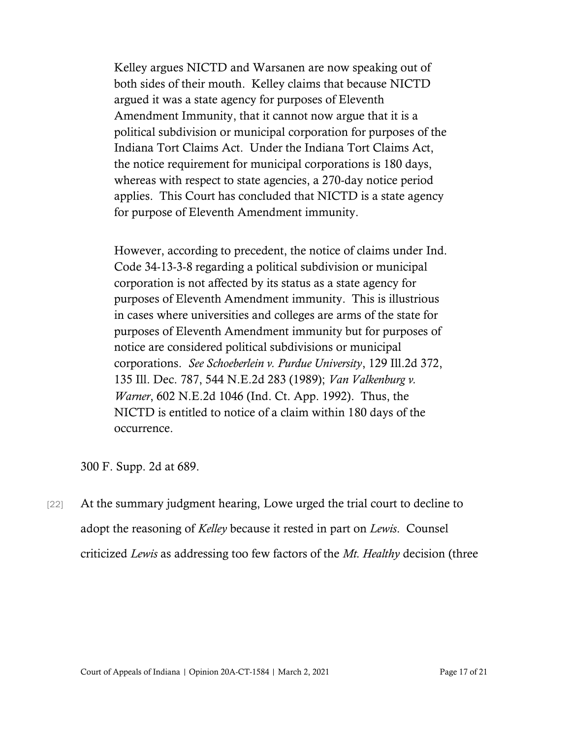Kelley argues NICTD and Warsanen are now speaking out of both sides of their mouth. Kelley claims that because NICTD argued it was a state agency for purposes of Eleventh Amendment Immunity, that it cannot now argue that it is a political subdivision or municipal corporation for purposes of the Indiana Tort Claims Act. Under the Indiana Tort Claims Act, the notice requirement for municipal corporations is 180 days, whereas with respect to state agencies, a 270-day notice period applies. This Court has concluded that NICTD is a state agency for purpose of Eleventh Amendment immunity.

However, according to precedent, the notice of claims under Ind. Code 34-13-3-8 regarding a political subdivision or municipal corporation is not affected by its status as a state agency for purposes of Eleventh Amendment immunity. This is illustrious in cases where universities and colleges are arms of the state for purposes of Eleventh Amendment immunity but for purposes of notice are considered political subdivisions or municipal corporations. *See Schoeberlein v. Purdue University*, 129 Ill.2d 372, 135 Ill. Dec. 787, 544 N.E.2d 283 (1989); *Van Valkenburg v. Warner*, 602 N.E.2d 1046 (Ind. Ct. App. 1992). Thus, the NICTD is entitled to notice of a claim within 180 days of the occurrence.

300 F. Supp. 2d at 689.

[22] At the summary judgment hearing, Lowe urged the trial court to decline to adopt the reasoning of *Kelley* because it rested in part on *Lewis*. Counsel criticized *Lewis* as addressing too few factors of the *Mt. Healthy* decision (three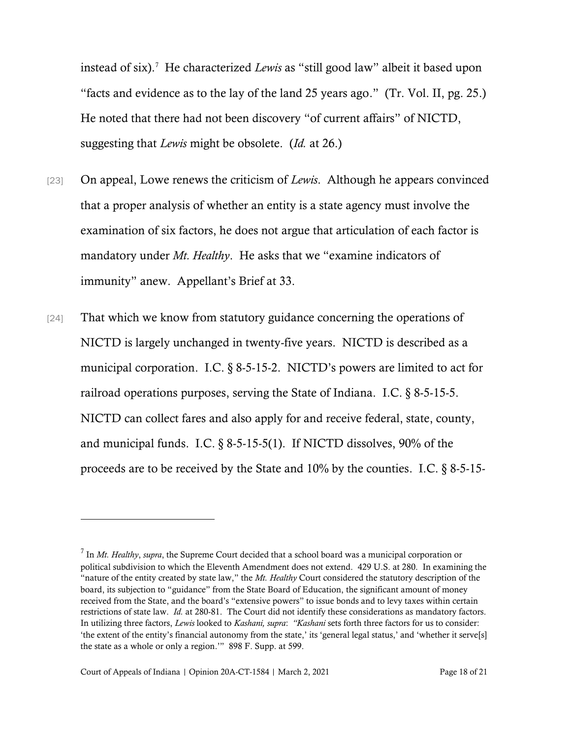instead of six). 7 He characterized *Lewis* as "still good law" albeit it based upon "facts and evidence as to the lay of the land 25 years ago." (Tr. Vol. II, pg. 25.) He noted that there had not been discovery "of current affairs" of NICTD, suggesting that *Lewis* might be obsolete. (*Id.* at 26.)

- [23] On appeal, Lowe renews the criticism of *Lewis*. Although he appears convinced that a proper analysis of whether an entity is a state agency must involve the examination of six factors, he does not argue that articulation of each factor is mandatory under *Mt. Healthy*. He asks that we "examine indicators of immunity" anew. Appellant's Brief at 33.
- [24] That which we know from statutory guidance concerning the operations of NICTD is largely unchanged in twenty-five years. NICTD is described as a municipal corporation. I.C. § 8-5-15-2. NICTD's powers are limited to act for railroad operations purposes, serving the State of Indiana. I.C. § 8-5-15-5. NICTD can collect fares and also apply for and receive federal, state, county, and municipal funds. I.C. § 8-5-15-5(1). If NICTD dissolves, 90% of the proceeds are to be received by the State and 10% by the counties. I.C. § 8-5-15-

<sup>7</sup> In *Mt. Healthy*, *supra*, the Supreme Court decided that a school board was a municipal corporation or political subdivision to which the Eleventh Amendment does not extend. 429 U.S. at 280. In examining the "nature of the entity created by state law," the *Mt. Healthy* Court considered the statutory description of the board, its subjection to "guidance" from the State Board of Education, the significant amount of money received from the State, and the board's "extensive powers" to issue bonds and to levy taxes within certain restrictions of state law. *Id.* at 280-81. The Court did not identify these considerations as mandatory factors. In utilizing three factors, *Lewis* looked to *Kashani, supra*: *"Kashani* sets forth three factors for us to consider: 'the extent of the entity's financial autonomy from the state,' its 'general legal status,' and 'whether it serve[s] the state as a whole or only a region.'" 898 F. Supp. at 599.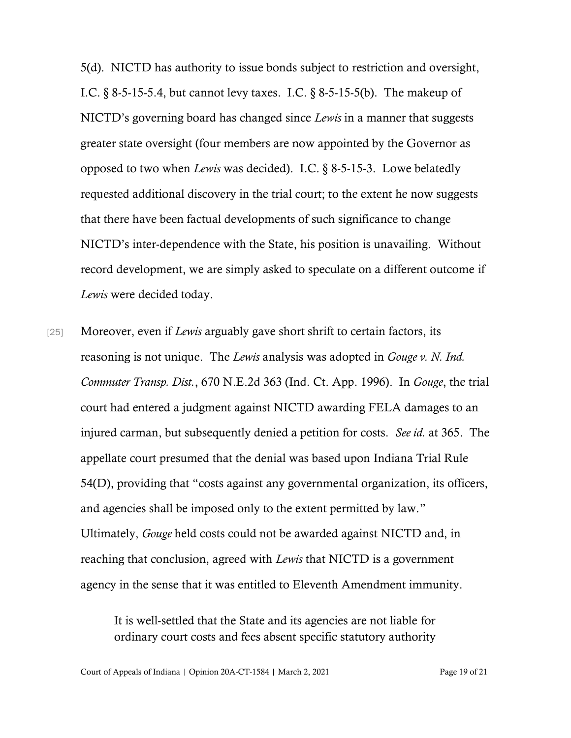5(d). NICTD has authority to issue bonds subject to restriction and oversight, I.C.  $\S 8-5-15-5.4$ , but cannot levy taxes. I.C.  $\S 8-5-15-5$ (b). The makeup of NICTD's governing board has changed since *Lewis* in a manner that suggests greater state oversight (four members are now appointed by the Governor as opposed to two when *Lewis* was decided). I.C. § 8-5-15-3. Lowe belatedly requested additional discovery in the trial court; to the extent he now suggests that there have been factual developments of such significance to change NICTD's inter-dependence with the State, his position is unavailing. Without record development, we are simply asked to speculate on a different outcome if *Lewis* were decided today.

[25] Moreover, even if *Lewis* arguably gave short shrift to certain factors, its reasoning is not unique. The *Lewis* analysis was adopted in *Gouge v. N. Ind. Commuter Transp. Dist.*, 670 N.E.2d 363 (Ind. Ct. App. 1996). In *Gouge*, the trial court had entered a judgment against NICTD awarding FELA damages to an injured carman, but subsequently denied a petition for costs. *See id.* at 365. The appellate court presumed that the denial was based upon Indiana Trial Rule 54(D), providing that "costs against any governmental organization, its officers, and agencies shall be imposed only to the extent permitted by law." Ultimately, *Gouge* held costs could not be awarded against NICTD and, in reaching that conclusion, agreed with *Lewis* that NICTD is a government agency in the sense that it was entitled to Eleventh Amendment immunity.

> It is well-settled that the State and its agencies are not liable for ordinary court costs and fees absent specific statutory authority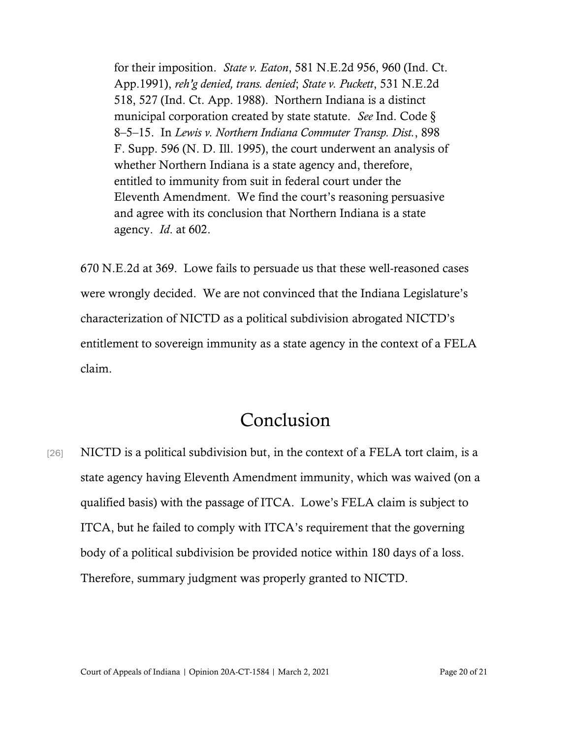for their imposition. *State v. Eaton*, 581 N.E.2d 956, 960 (Ind. Ct. App.1991), *reh'g denied, trans. denied*; *State v. Puckett*, 531 N.E.2d 518, 527 (Ind. Ct. App. 1988). Northern Indiana is a distinct municipal corporation created by state statute. *See* Ind. Code § 8–5–15. In *Lewis v. Northern Indiana Commuter Transp. Dist.*, 898 F. Supp. 596 (N. D. Ill. 1995), the court underwent an analysis of whether Northern Indiana is a state agency and, therefore, entitled to immunity from suit in federal court under the Eleventh Amendment. We find the court's reasoning persuasive and agree with its conclusion that Northern Indiana is a state agency. *Id*. at 602.

670 N.E.2d at 369. Lowe fails to persuade us that these well-reasoned cases were wrongly decided. We are not convinced that the Indiana Legislature's characterization of NICTD as a political subdivision abrogated NICTD's entitlement to sovereign immunity as a state agency in the context of a FELA claim.

### Conclusion

[26] NICTD is a political subdivision but, in the context of a FELA tort claim, is a state agency having Eleventh Amendment immunity, which was waived (on a qualified basis) with the passage of ITCA. Lowe's FELA claim is subject to ITCA, but he failed to comply with ITCA's requirement that the governing body of a political subdivision be provided notice within 180 days of a loss. Therefore, summary judgment was properly granted to NICTD.